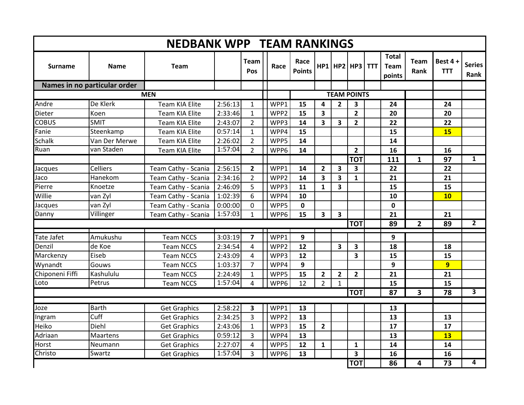| <b>NEDBANK WPP TEAM RANKINGS</b> |                              |                       |         |                |                  |                       |                         |                         |                    |            |                                       |                     |                          |                       |
|----------------------------------|------------------------------|-----------------------|---------|----------------|------------------|-----------------------|-------------------------|-------------------------|--------------------|------------|---------------------------------------|---------------------|--------------------------|-----------------------|
| <b>Surname</b>                   | <b>Name</b>                  | <b>Team</b>           |         | Team<br>Pos    | Race             | Race<br><b>Points</b> | HP1                     |                         | HP2 HP3            | <b>TTT</b> | <b>Total</b><br><b>Team</b><br>points | <b>Team</b><br>Rank | Best $4 +$<br><b>TTT</b> | <b>Series</b><br>Rank |
|                                  | Names in no particular order |                       |         |                |                  |                       |                         |                         |                    |            |                                       |                     |                          |                       |
|                                  |                              | <b>MEN</b>            |         |                |                  |                       |                         |                         | <b>TEAM POINTS</b> |            |                                       |                     |                          |                       |
| Andre                            | De Klerk                     | <b>Team KIA Elite</b> | 2:56:13 | $\mathbf{1}$   | WPP1             | 15                    | 4                       | $\overline{2}$          | 3                  |            | 24                                    |                     | 24                       |                       |
| Dieter                           | Koen                         | <b>Team KIA Elite</b> | 2:33:46 | $\mathbf{1}$   | WPP <sub>2</sub> | 15                    | 3                       |                         | $\overline{2}$     |            | 20                                    |                     | 20                       |                       |
| <b>COBUS</b>                     | <b>SMIT</b>                  | <b>Team KIA Elite</b> | 2:43:07 | $\overline{2}$ | WPP3             | 14                    | $\overline{\mathbf{3}}$ | $\overline{\mathbf{3}}$ | $\overline{2}$     |            | 22                                    |                     | 22                       |                       |
| Fanie                            | Steenkamp                    | <b>Team KIA Elite</b> | 0:57:14 | $\mathbf{1}$   | WPP4             | 15                    |                         |                         |                    |            | 15                                    |                     | <b>15</b>                |                       |
| <b>Schalk</b>                    | Van Der Merwe                | <b>Team KIA Elite</b> | 2:26:02 | $\overline{2}$ | WPP5             | 14                    |                         |                         |                    |            | 14                                    |                     |                          |                       |
| Ruan                             | van Staden                   | <b>Team KIA Elite</b> | 1:57:04 | $\overline{2}$ | WPP6             | 14                    |                         |                         | $\overline{2}$     |            | 16                                    |                     | 16                       |                       |
|                                  |                              |                       |         |                |                  |                       |                         |                         | <b>TOT</b>         |            | 111                                   | 1                   | 97                       | $\overline{1}$        |
| Jacques                          | <b>Celliers</b>              | Team Cathy - Scania   | 2:56:15 | $\mathbf{2}$   | WPP1             | 14                    | 2                       | 3                       | 3                  |            | 22                                    |                     | 22                       |                       |
| Jaco                             | Hanekom                      | Team Cathy - Scania   | 2:34:16 | $\overline{2}$ | WPP <sub>2</sub> | 14                    | 3                       | 3                       | $\mathbf{1}$       |            | 21                                    |                     | 21                       |                       |
| Pierre                           | Knoetze                      | Team Cathy - Scania   | 2:46:09 | 5              | WPP3             | 11                    | $\mathbf{1}$            | $\overline{\mathbf{3}}$ |                    |            | 15                                    |                     | 15                       |                       |
| Willie                           | van Zyl                      | Team Cathy - Scania   | 1:02:39 | 6              | WPP4             | 10                    |                         |                         |                    |            | 10                                    |                     | 10                       |                       |
| Jacques                          | van Zyl                      | Team Cathy - Scania   | 0:00:00 | 0              | WPP5             | 0                     |                         |                         |                    |            | 0                                     |                     |                          |                       |
| Danny                            | Villinger                    | Team Cathy - Scania   | 1:57:03 | $\mathbf{1}$   | WPP6             | 15                    | 3                       | $\overline{\mathbf{3}}$ |                    |            | 21                                    |                     | 21                       |                       |
|                                  |                              |                       |         |                |                  |                       |                         |                         | <b>TOT</b>         |            | 89                                    | $\overline{2}$      | 89                       | $\overline{2}$        |
| <b>Tate Jafet</b>                | Amukushu                     | <b>Team NCCS</b>      | 3:03:19 | $\overline{ }$ | WPP1             | 9                     |                         |                         |                    |            | 9                                     |                     |                          |                       |
| Denzil                           | de Koe                       | <b>Team NCCS</b>      | 2:34:54 | 4              | WPP <sub>2</sub> | 12                    |                         | $\overline{\mathbf{3}}$ | 3                  |            | 18                                    |                     | 18                       |                       |
| Marckenzy                        | Eiseb                        | <b>Team NCCS</b>      | 2:43:09 | 4              | WPP3             | 12                    |                         |                         | 3                  |            | 15                                    |                     | 15                       |                       |
| Wynandt                          | Gouws                        | <b>Team NCCS</b>      | 1:03:37 | $\overline{7}$ | WPP4             | 9                     |                         |                         |                    |            | 9                                     |                     | $\overline{9}$           |                       |
| Chiponeni Fiffi                  | Kashululu                    | <b>Team NCCS</b>      | 2:24:49 | $\mathbf{1}$   | WPP5             | 15                    | $\overline{\mathbf{2}}$ | $\overline{2}$          | $\overline{2}$     |            | 21                                    |                     | 21                       |                       |
| Loto                             | Petrus                       | <b>Team NCCS</b>      | 1:57:04 | 4              | WPP6             | 12                    | $\overline{2}$          | $\mathbf{1}$            |                    |            | 15                                    |                     | 15                       |                       |
| <b>TOT</b>                       |                              |                       |         |                |                  |                       |                         |                         |                    | 87         | 3                                     | 78                  | $\overline{\mathbf{3}}$  |                       |
| Joze                             | <b>Barth</b>                 | <b>Get Graphics</b>   | 2:58:22 | 3              | WPP1             | 13                    |                         |                         |                    |            | 13                                    |                     |                          |                       |
| Ingram                           | Cuff                         | <b>Get Graphics</b>   | 2:34:25 | 3              | WPP <sub>2</sub> | 13                    |                         |                         |                    |            | 13                                    |                     | 13                       |                       |
| Heiko                            | Diehl                        | <b>Get Graphics</b>   | 2:43:06 | $\mathbf{1}$   | WPP3             | 15                    | $\overline{2}$          |                         |                    |            | 17                                    |                     | 17                       |                       |
| Adriaan                          | <b>Maartens</b>              | <b>Get Graphics</b>   | 0:59:12 | 3              | WPP4             | 13                    |                         |                         |                    |            | 13                                    |                     | 13                       |                       |
| Horst                            | Neumann                      | <b>Get Graphics</b>   | 2:27:07 | 4              | WPP5             | 12                    | $\mathbf{1}$            |                         | $\mathbf{1}$       |            | 14                                    |                     | 14                       |                       |
| Christo                          | Swartz                       | <b>Get Graphics</b>   | 1:57:04 | 3              | WPP6             | 13                    |                         |                         | 3                  |            | 16                                    |                     | 16                       |                       |
|                                  |                              |                       |         |                |                  |                       |                         |                         | <b>TOT</b>         |            | 86                                    | 4                   | 73                       | 4                     |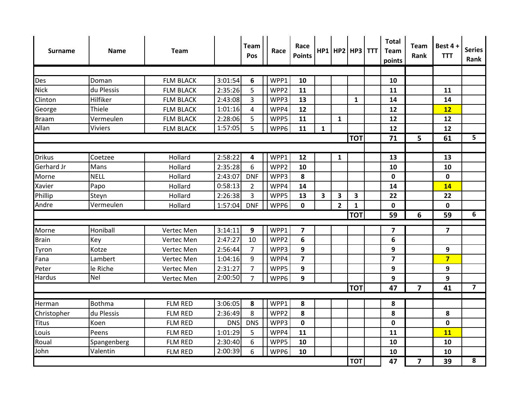| <b>Surname</b> | <b>Name</b>    | <b>Team</b>      |            | Team<br>Pos             | Race | Race<br><b>Points</b> |              |                         | $HP1$   HP2   HP3   TTT | <b>Total</b><br><b>Team</b><br>points | <b>Team</b><br>Rank     | Best 4+<br><b>TTT</b>   | <b>Series</b><br>Rank |
|----------------|----------------|------------------|------------|-------------------------|------|-----------------------|--------------|-------------------------|-------------------------|---------------------------------------|-------------------------|-------------------------|-----------------------|
|                |                |                  |            |                         |      |                       |              |                         |                         |                                       |                         |                         |                       |
| <b>Des</b>     | Doman          | <b>FLM BLACK</b> | 3:01:54    | 6                       | WPP1 | 10                    |              |                         |                         | 10                                    |                         |                         |                       |
| <b>Nick</b>    | du Plessis     | <b>FLM BLACK</b> | 2:35:26    | 5                       | WPP2 | 11                    |              |                         |                         | 11                                    |                         | 11                      |                       |
| Clinton        | Hilfiker       | <b>FLM BLACK</b> | 2:43:08    | 3                       | WPP3 | 13                    |              |                         | $\mathbf{1}$            | 14                                    |                         | 14                      |                       |
| George         | Thiele         | <b>FLM BLACK</b> | 1:01:16    | $\overline{\mathbf{4}}$ | WPP4 | 12                    |              |                         |                         | 12                                    |                         | 12                      |                       |
| <b>Braam</b>   | Vermeulen      | <b>FLM BLACK</b> | 2:28:06    | 5                       | WPP5 | 11                    |              | $\mathbf{1}$            |                         | 12                                    |                         | 12                      |                       |
| Allan          | <b>Viviers</b> | <b>FLM BLACK</b> | 1:57:05    | 5                       | WPP6 | 11                    | $\mathbf{1}$ |                         |                         | 12                                    |                         | 12                      |                       |
|                |                |                  |            |                         |      |                       |              |                         | <b>TOT</b>              | 71                                    | 5                       | 61                      | 5                     |
|                |                |                  |            |                         |      |                       |              |                         |                         |                                       |                         |                         |                       |
| <b>Drikus</b>  | Coetzee        | Hollard          | 2:58:22    | 4                       | WPP1 | 12                    |              | $\mathbf{1}$            |                         | 13                                    |                         | 13                      |                       |
| Gerhard Jr     | Mans           | Hollard          | 2:35:28    | 6                       | WPP2 | 10                    |              |                         |                         | 10                                    |                         | 10                      |                       |
| Morne          | <b>NELL</b>    | Hollard          | 2:43:07    | <b>DNF</b>              | WPP3 | 8                     |              |                         |                         | 0                                     |                         | $\pmb{0}$               |                       |
| Xavier         | Papo           | Hollard          | 0:58:13    | $\overline{2}$          | WPP4 | 14                    |              |                         |                         | 14                                    |                         | 14                      |                       |
| Phillip        | Steyn          | Hollard          | 2:26:38    | 3                       | WPP5 | 13                    | 3            | $\overline{\mathbf{3}}$ | 3                       | 22                                    |                         | 22                      |                       |
| Andre          | Vermeulen      | Hollard          | 1:57:04    | <b>DNF</b>              | WPP6 | $\mathbf 0$           |              | $\overline{2}$          | $\mathbf{1}$            | 0                                     |                         | $\mathbf 0$             |                       |
|                |                |                  |            |                         |      |                       |              |                         | <b>TOT</b>              | 59                                    | 6                       | 59                      | 6                     |
| Morne          | Honiball       | Vertec Men       | 3:14:11    | 9                       | WPP1 | $\overline{7}$        |              |                         |                         | $\overline{\mathbf{z}}$               |                         | $\overline{\mathbf{z}}$ |                       |
| <b>Brain</b>   | Key            | Vertec Men       | 2:47:27    | 10                      | WPP2 | $6\phantom{1}6$       |              |                         |                         | 6                                     |                         |                         |                       |
| Tyron          | Kotze          | Vertec Men       | 2:56:44    | $\overline{7}$          | WPP3 | 9                     |              |                         |                         | 9                                     |                         | 9                       |                       |
| Fana           | Lambert        | Vertec Men       | 1:04:16    | 9                       | WPP4 | $\overline{7}$        |              |                         |                         | $\overline{\mathbf{z}}$               |                         | $\overline{7}$          |                       |
| Peter          | le Riche       | Vertec Men       | 2:31:27    | $\overline{7}$          | WPP5 | 9                     |              |                         |                         | 9                                     |                         | 9                       |                       |
| <b>Hardus</b>  | <b>Nel</b>     | Vertec Men       | 2:00:50    | $\overline{7}$          | WPP6 | 9                     |              |                         |                         | 9                                     |                         | 9                       |                       |
|                |                |                  |            |                         |      |                       |              |                         | <b>TOT</b>              | 47                                    | $\overline{\mathbf{z}}$ | 41                      | $\overline{7}$        |
|                | <b>Bothma</b>  | <b>FLM RED</b>   |            |                         | WPP1 |                       |              |                         |                         |                                       |                         |                         |                       |
| Herman         |                |                  | 3:06:05    | 8                       |      | 8                     |              |                         |                         | 8                                     |                         |                         |                       |
| Christopher    | du Plessis     | <b>FLM RED</b>   | 2:36:49    | 8                       | WPP2 | 8                     |              |                         |                         | 8                                     |                         | 8                       |                       |
| <b>Titus</b>   | Koen           | <b>FLM RED</b>   | <b>DNS</b> | <b>DNS</b>              | WPP3 | $\mathbf 0$           |              |                         |                         | 0                                     |                         | $\mathbf 0$             |                       |
| Louis          | Peens          | <b>FLM RED</b>   | 1:01:29    | 5                       | WPP4 | 11                    |              |                         |                         | 11                                    |                         | 11                      |                       |
| Roual          | Spangenberg    | FLM RED          | 2:30:40    | 6                       | WPP5 | 10                    |              |                         |                         | 10                                    |                         | 10                      |                       |
| John           | Valentin       | FLM RED          | 2:00:39    | 6                       | WPP6 | 10                    |              |                         |                         | 10                                    |                         | 10                      |                       |
|                |                |                  |            |                         |      |                       |              |                         | <b>TOT</b>              | 47                                    | $\overline{\mathbf{z}}$ | 39                      | 8                     |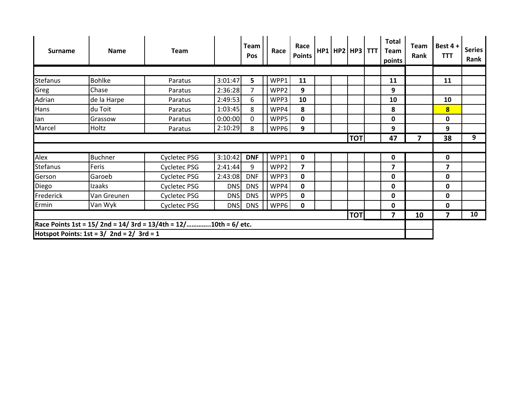| <b>Surname</b>  | <b>Name</b>                               | <b>Team</b>                                                    |            | <b>Team</b><br>Pos | Race | Race<br><b>Points</b> | $HP1$ $HP2$ $HP3$ $TTT$ |            | Total<br>Team<br>points | Team<br>Rank | Best 4+<br><b>TTT</b>   | <b>Series</b><br>Rank |
|-----------------|-------------------------------------------|----------------------------------------------------------------|------------|--------------------|------|-----------------------|-------------------------|------------|-------------------------|--------------|-------------------------|-----------------------|
|                 |                                           |                                                                |            |                    |      |                       |                         |            |                         |              |                         |                       |
| <b>Stefanus</b> | <b>Bohlke</b>                             | Paratus                                                        | 3:01:47    | 5                  | WPP1 | 11                    |                         |            | 11                      |              | 11                      |                       |
| Greg            | Chase                                     | Paratus                                                        | 2:36:28    | 7                  | WPP2 | 9                     |                         |            | 9                       |              |                         |                       |
| Adrian          | de la Harpe                               | Paratus                                                        | 2:49:53    | 6                  | WPP3 | 10                    |                         |            | 10                      |              | 10                      |                       |
| Hans            | du Toit                                   | Paratus                                                        | 1:03:45    | 8                  | WPP4 | 8                     |                         |            | 8                       |              | $\overline{\mathbf{8}}$ |                       |
| lan             | Grassow                                   | Paratus                                                        | 0:00:00    | 0                  | WPP5 | $\mathbf 0$           |                         |            | 0                       |              | 0                       |                       |
| Marcel          | Holtz                                     | Paratus                                                        | 2:10:29    | 8                  | WPP6 | 9                     |                         |            | 9                       |              | 9                       |                       |
|                 |                                           |                                                                |            |                    |      |                       |                         | <b>TOT</b> | 47                      | 7            | 38                      | 9                     |
|                 |                                           |                                                                |            |                    |      |                       |                         |            |                         |              |                         |                       |
| Alex            | <b>Buchner</b>                            | Cycletec PSG                                                   | 3:10:42    | <b>DNF</b>         | WPP1 | $\mathbf 0$           |                         |            | $\pmb{0}$               |              | $\mathbf 0$             |                       |
| <b>Stefanus</b> | Feris                                     | <b>Cycletec PSG</b>                                            | 2:41:44    | 9                  | WPP2 | $\overline{7}$        |                         |            | $\overline{\mathbf{z}}$ |              | $\overline{\mathbf{z}}$ |                       |
| Gerson          | Garoeb                                    | <b>Cycletec PSG</b>                                            | 2:43:08    | <b>DNF</b>         | WPP3 | $\mathbf 0$           |                         |            | 0                       |              | 0                       |                       |
| Diego           | Izaaks                                    | <b>Cycletec PSG</b>                                            | <b>DNS</b> | <b>DNS</b>         | WPP4 | $\mathbf 0$           |                         |            | 0                       |              | 0                       |                       |
| Frederick       | Van Greunen                               | <b>Cycletec PSG</b>                                            | <b>DNS</b> | <b>DNS</b>         | WPP5 | $\mathbf 0$           |                         |            | 0                       |              | 0                       |                       |
| Ermin           | Van Wyk                                   | <b>Cycletec PSG</b>                                            | <b>DNS</b> | <b>DNS</b>         | WPP6 | 0                     |                         |            | 0                       |              | 0                       |                       |
|                 |                                           |                                                                |            |                    |      |                       |                         | <b>TOT</b> | 7                       | 10           | 7                       | 10                    |
|                 | Hotspot Points: $1st = 3/2nd = 2/3rd = 1$ | Race Points 1st = 15/2nd = 14/3rd = 13/4th = 12/10th = 6/ etc. |            |                    |      |                       |                         |            |                         |              |                         |                       |